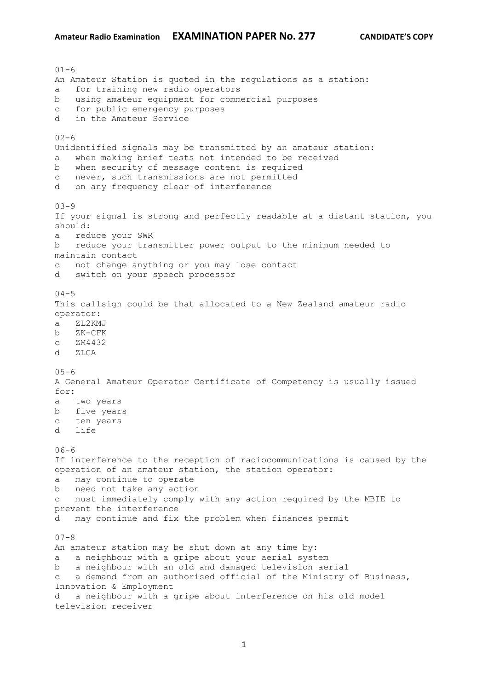$01 - 6$ An Amateur Station is quoted in the regulations as a station: a for training new radio operators b using amateur equipment for commercial purposes c for public emergency purposes d in the Amateur Service  $02 - 6$ Unidentified signals may be transmitted by an amateur station: a when making brief tests not intended to be received b when security of message content is required c never, such transmissions are not permitted d on any frequency clear of interference  $03 - 9$ If your signal is strong and perfectly readable at a distant station, you should: a reduce your SWR b reduce your transmitter power output to the minimum needed to maintain contact c not change anything or you may lose contact d switch on your speech processor  $04-5$ This callsign could be that allocated to a New Zealand amateur radio operator: a ZL2KMJ b ZK-CFK c ZM4432 d ZLGA  $05 - 6$ A General Amateur Operator Certificate of Competency is usually issued for: a two years b five years c ten years d life  $06 - 6$ If interference to the reception of radiocommunications is caused by the operation of an amateur station, the station operator: a may continue to operate b need not take any action c must immediately comply with any action required by the MBIE to prevent the interference d may continue and fix the problem when finances permit  $07 - 8$ An amateur station may be shut down at any time by: a a neighbour with a gripe about your aerial system b a neighbour with an old and damaged television aerial c a demand from an authorised official of the Ministry of Business, Innovation & Employment d a neighbour with a gripe about interference on his old model television receiver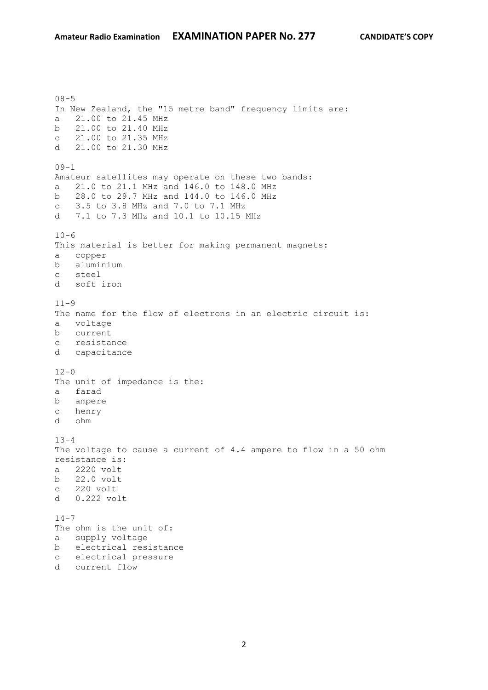$08 - 5$ In New Zealand, the "15 metre band" frequency limits are: a 21.00 to 21.45 MHz b 21.00 to 21.40 MHz c 21.00 to 21.35 MHz d 21.00 to 21.30 MHz  $09 - 1$ Amateur satellites may operate on these two bands: a 21.0 to 21.1 MHz and 146.0 to 148.0 MHz b 28.0 to 29.7 MHz and 144.0 to 146.0 MHz c 3.5 to 3.8 MHz and 7.0 to 7.1 MHz d 7.1 to 7.3 MHz and 10.1 to 10.15 MHz  $10-6$ This material is better for making permanent magnets: a copper b aluminium c steel d soft iron  $11 - 9$ The name for the flow of electrons in an electric circuit is: a voltage b current c resistance d capacitance  $12 - 0$ The unit of impedance is the: a farad b ampere c henry d ohm 13-4 The voltage to cause a current of 4.4 ampere to flow in a 50 ohm resistance is: a 2220 volt b 22.0 volt c 220 volt d 0.222 volt  $14 - 7$ The ohm is the unit of: a supply voltage b electrical resistance c electrical pressure d current flow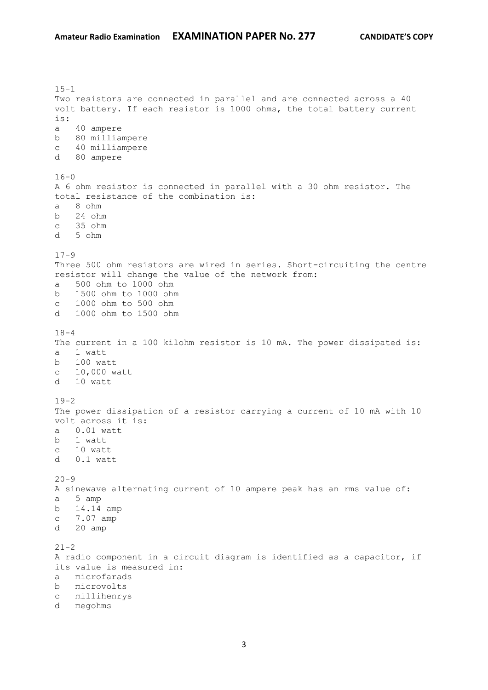15-1 Two resistors are connected in parallel and are connected across a 40 volt battery. If each resistor is 1000 ohms, the total battery current is: a 40 ampere b 80 milliampere c 40 milliampere d 80 ampere  $16 - 0$ A 6 ohm resistor is connected in parallel with a 30 ohm resistor. The total resistance of the combination is: a 8 ohm b 24 ohm c 35 ohm d 5 ohm  $17-9$ Three 500 ohm resistors are wired in series. Short-circuiting the centre resistor will change the value of the network from: a 500 ohm to 1000 ohm b 1500 ohm to 1000 ohm c 1000 ohm to 500 ohm d 1000 ohm to 1500 ohm  $18 - 4$ The current in a 100 kilohm resistor is 10 mA. The power dissipated is: a 1 watt b 100 watt c 10,000 watt d 10 watt  $19-2$ The power dissipation of a resistor carrying a current of 10 mA with 10 volt across it is: a 0.01 watt b 1 watt c 10 watt d 0.1 watt  $20 - 9$ A sinewave alternating current of 10 ampere peak has an rms value of: a 5 amp b 14.14 amp c 7.07 amp d 20 amp  $21 - 2$ A radio component in a circuit diagram is identified as a capacitor, if its value is measured in: a microfarads b microvolts c millihenrys d megohms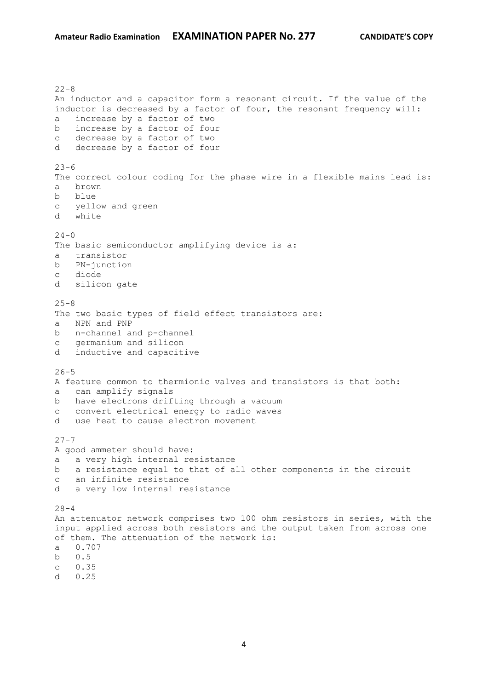$22 - 8$ An inductor and a capacitor form a resonant circuit. If the value of the inductor is decreased by a factor of four, the resonant frequency will: a increase by a factor of two b increase by a factor of four c decrease by a factor of two d decrease by a factor of four  $23 - 6$ The correct colour coding for the phase wire in a flexible mains lead is: a brown b blue c yellow and green d white  $24 - 0$ The basic semiconductor amplifying device is a: a transistor b PN-junction c diode d silicon gate  $25 - 8$ The two basic types of field effect transistors are: a NPN and PNP b n-channel and p-channel c germanium and silicon d inductive and capacitive  $26 - 5$ A feature common to thermionic valves and transistors is that both: a can amplify signals b have electrons drifting through a vacuum c convert electrical energy to radio waves d use heat to cause electron movement  $27 - 7$ A good ammeter should have: a a very high internal resistance b a resistance equal to that of all other components in the circuit c an infinite resistance d a very low internal resistance  $28 - 4$ An attenuator network comprises two 100 ohm resistors in series, with the input applied across both resistors and the output taken from across one of them. The attenuation of the network is: a 0.707 b 0.5 c 0.35 d 0.25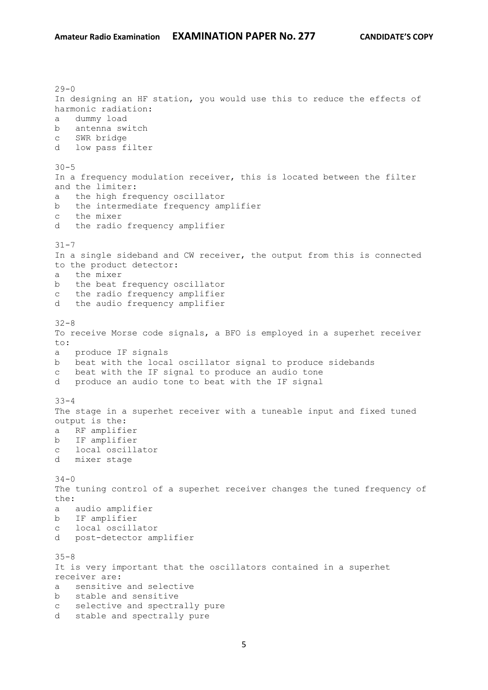$29 - 0$ In designing an HF station, you would use this to reduce the effects of harmonic radiation: a dummy load b antenna switch c SWR bridge d low pass filter  $30 - 5$ In a frequency modulation receiver, this is located between the filter and the limiter: a the high frequency oscillator b the intermediate frequency amplifier c the mixer d the radio frequency amplifier  $31 - 7$ In a single sideband and CW receiver, the output from this is connected to the product detector: a the mixer b the beat frequency oscillator c the radio frequency amplifier d the audio frequency amplifier  $32 - 8$ To receive Morse code signals, a BFO is employed in a superhet receiver to: a produce IF signals b beat with the local oscillator signal to produce sidebands c beat with the IF signal to produce an audio tone d produce an audio tone to beat with the IF signal 33-4 The stage in a superhet receiver with a tuneable input and fixed tuned output is the: a RF amplifier b IF amplifier c local oscillator d mixer stage  $34 - 0$ The tuning control of a superhet receiver changes the tuned frequency of the: a audio amplifier b IF amplifier c local oscillator d post-detector amplifier 35-8 It is very important that the oscillators contained in a superhet receiver are: a sensitive and selective b stable and sensitive c selective and spectrally pure d stable and spectrally pure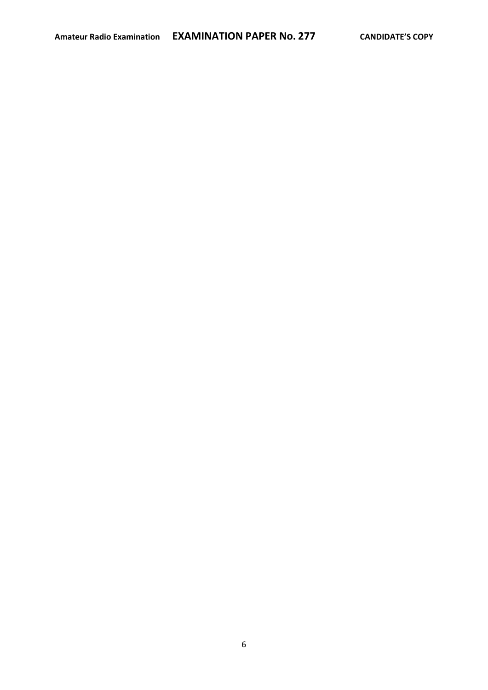6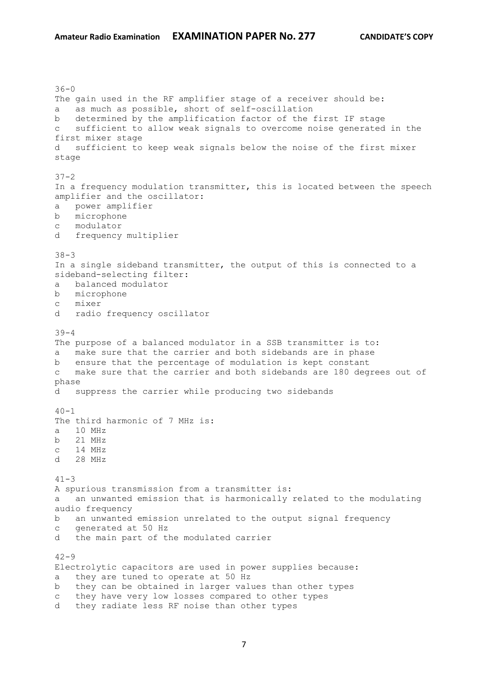$36 - 0$ The gain used in the RF amplifier stage of a receiver should be: a as much as possible, short of self-oscillation b determined by the amplification factor of the first IF stage c sufficient to allow weak signals to overcome noise generated in the first mixer stage d sufficient to keep weak signals below the noise of the first mixer stage  $37 - 2$ In a frequency modulation transmitter, this is located between the speech amplifier and the oscillator: a power amplifier b microphone c modulator d frequency multiplier 38-3 In a single sideband transmitter, the output of this is connected to a sideband-selecting filter: a balanced modulator b microphone c mixer d radio frequency oscillator 39-4 The purpose of a balanced modulator in a SSB transmitter is to: a make sure that the carrier and both sidebands are in phase b ensure that the percentage of modulation is kept constant c make sure that the carrier and both sidebands are 180 degrees out of phase d suppress the carrier while producing two sidebands  $40 - 1$ The third harmonic of 7 MHz is: a 10 MHz b 21 MHz c 14 MHz d 28 MHz  $41 - 3$ A spurious transmission from a transmitter is: a an unwanted emission that is harmonically related to the modulating audio frequency b an unwanted emission unrelated to the output signal frequency c generated at 50 Hz d the main part of the modulated carrier  $42 - 9$ Electrolytic capacitors are used in power supplies because: a they are tuned to operate at 50 Hz b they can be obtained in larger values than other types c they have very low losses compared to other types d they radiate less RF noise than other types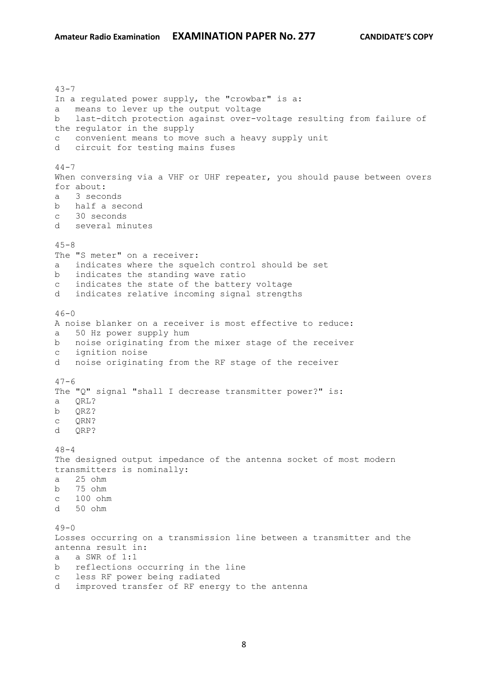$43 - 7$ In a regulated power supply, the "crowbar" is a: a means to lever up the output voltage b last-ditch protection against over-voltage resulting from failure of the regulator in the supply c convenient means to move such a heavy supply unit d circuit for testing mains fuses  $44 - 7$ When conversing via a VHF or UHF repeater, you should pause between overs for about: a 3 seconds b half a second c 30 seconds d several minutes  $45 - 8$ The "S meter" on a receiver: a indicates where the squelch control should be set b indicates the standing wave ratio c indicates the state of the battery voltage d indicates relative incoming signal strengths  $46 - 0$ A noise blanker on a receiver is most effective to reduce: a 50 Hz power supply hum b noise originating from the mixer stage of the receiver c ignition noise d noise originating from the RF stage of the receiver  $47 - 6$ The "O" signal "shall I decrease transmitter power?" is: a QRL? b QRZ? c QRN? d QRP?  $48 - 4$ The designed output impedance of the antenna socket of most modern transmitters is nominally: a 25 ohm b 75 ohm c 100 ohm d 50 ohm  $49-0$ Losses occurring on a transmission line between a transmitter and the antenna result in: a a SWR of 1:1 b reflections occurring in the line c less RF power being radiated d improved transfer of RF energy to the antenna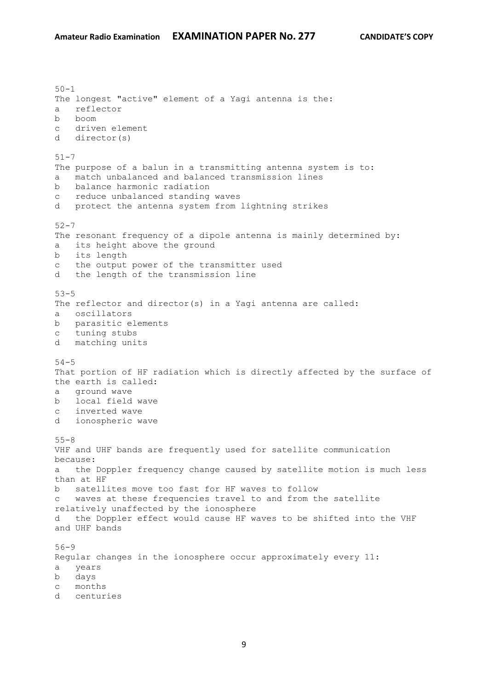$50 - 1$ The longest "active" element of a Yagi antenna is the: a reflector b boom c driven element d director(s)  $51 - 7$ The purpose of a balun in a transmitting antenna system is to: a match unbalanced and balanced transmission lines b balance harmonic radiation c reduce unbalanced standing waves d protect the antenna system from lightning strikes  $52 - 7$ The resonant frequency of a dipole antenna is mainly determined by: a its height above the ground b its length c the output power of the transmitter used d the length of the transmission line 53-5 The reflector and director(s) in a Yagi antenna are called: a oscillators b parasitic elements c tuning stubs d matching units  $54 - 5$ That portion of HF radiation which is directly affected by the surface of the earth is called: a ground wave b local field wave c inverted wave d ionospheric wave 55-8 VHF and UHF bands are frequently used for satellite communication because: a the Doppler frequency change caused by satellite motion is much less than at HF b satellites move too fast for HF waves to follow c waves at these frequencies travel to and from the satellite relatively unaffected by the ionosphere d the Doppler effect would cause HF waves to be shifted into the VHF and UHF bands 56-9 Regular changes in the ionosphere occur approximately every 11: a years b days c months d centuries